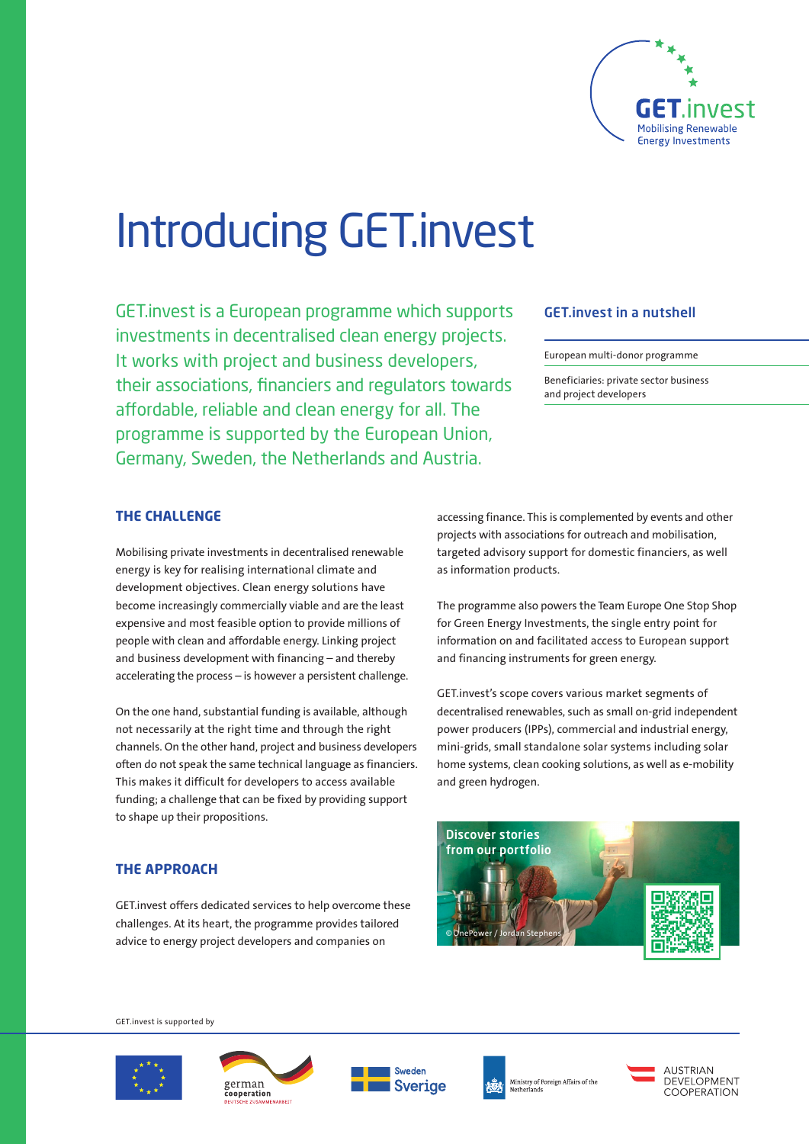

# Introducing GET.invest

GET.invest is a European programme which supports investments in decentralised clean energy projects. It works with project and business developers, their associations, financiers and regulators towards affordable, reliable and clean energy for all. The programme is supported by the European Union, Germany, Sweden, the Netherlands and Austria.

## GET.invest in a nutshell

European multi-donor programme

Beneficiaries: private sector business and project developers

### **THE CHALLENGE**

Mobilising private investments in decentralised renewable energy is key for realising international climate and development objectives. Clean energy solutions have become increasingly commercially viable and are the least expensive and most feasible option to provide millions of people with clean and affordable energy. Linking project and business development with financing – and thereby accelerating the process – is however a persistent challenge.

On the one hand, substantial funding is available, although not necessarily at the right time and through the right channels. On the other hand, project and business developers often do not speak the same technical language as financiers. This makes it difficult for developers to access available funding; a challenge that can be fixed by providing support to shape up their propositions.

accessing finance. This is complemented by events and other projects with associations for outreach and mobilisation, targeted advisory support for domestic financiers, as well as information products.

The programme also powers the Team Europe One Stop Shop for Green Energy Investments, the single entry point for information on and facilitated access to European support and financing instruments for green energy.

GET.invest's scope covers various market segments of decentralised renewables, such as small on-grid independent power producers (IPPs), commercial and industrial energy, mini-grids, small standalone solar systems including solar home systems, clean cooking solutions, as well as e-mobility and green hydrogen.



### **THE APPROACH**

GET.invest offers dedicated services to help overcome these challenges. At its heart, the programme provides tailored advice to energy project developers and companies on

GET.invest is supported by









Ministry of Foreign Affairs of the winnsury or:<br>Netherlands